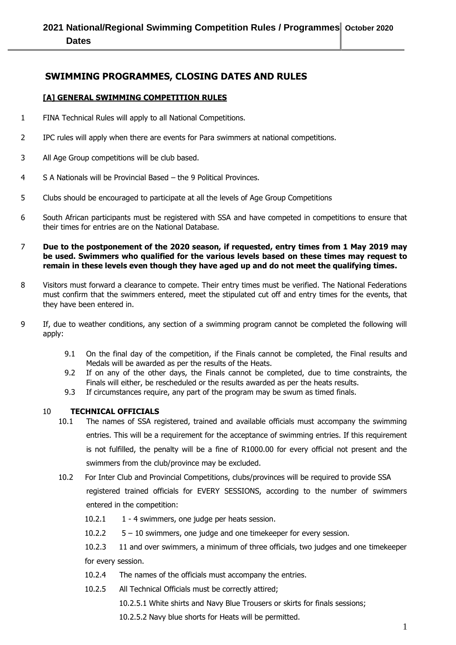### **SWIMMING PROGRAMMES, CLOSING DATES AND RULES**

#### **[A] GENERAL SWIMMING COMPETITION RULES**

- 1 FINA Technical Rules will apply to all National Competitions.
- 2 IPC rules will apply when there are events for Para swimmers at national competitions.
- 3 All Age Group competitions will be club based.
- 4 S A Nationals will be Provincial Based the 9 Political Provinces.
- 5 Clubs should be encouraged to participate at all the levels of Age Group Competitions
- 6 South African participants must be registered with SSA and have competed in competitions to ensure that their times for entries are on the National Database.
- 7 **Due to the postponement of the 2020 season, if requested, entry times from 1 May 2019 may be used. Swimmers who qualified for the various levels based on these times may request to remain in these levels even though they have aged up and do not meet the qualifying times.**
- 8 Visitors must forward a clearance to compete. Their entry times must be verified. The National Federations must confirm that the swimmers entered, meet the stipulated cut off and entry times for the events, that they have been entered in.
- 9 If, due to weather conditions, any section of a swimming program cannot be completed the following will apply:
	- 9.1 On the final day of the competition, if the Finals cannot be completed, the Final results and Medals will be awarded as per the results of the Heats.
	- 9.2 If on any of the other days, the Finals cannot be completed, due to time constraints, the Finals will either, be rescheduled or the results awarded as per the heats results.
	- 9.3 If circumstances require, any part of the program may be swum as timed finals.

#### 10 **TECHNICAL OFFICIALS**

- 10.1 The names of SSA registered, trained and available officials must accompany the swimming entries. This will be a requirement for the acceptance of swimming entries. If this requirement is not fulfilled, the penalty will be a fine of R1000.00 for every official not present and the swimmers from the club/province may be excluded.
- 10.2 For Inter Club and Provincial Competitions, clubs/provinces will be required to provide SSA registered trained officials for EVERY SESSIONS, according to the number of swimmers entered in the competition:
	- 10.2.1 1 4 swimmers, one judge per heats session.
	- 10.2.2 5 10 swimmers, one judge and one timekeeper for every session.
	- 10.2.3 11 and over swimmers, a minimum of three officials, two judges and one timekeeper for every session.
	- 10.2.4 The names of the officials must accompany the entries.
	- 10.2.5 All Technical Officials must be correctly attired;
		- 10.2.5.1 White shirts and Navy Blue Trousers or skirts for finals sessions;
		- 10.2.5.2 Navy blue shorts for Heats will be permitted.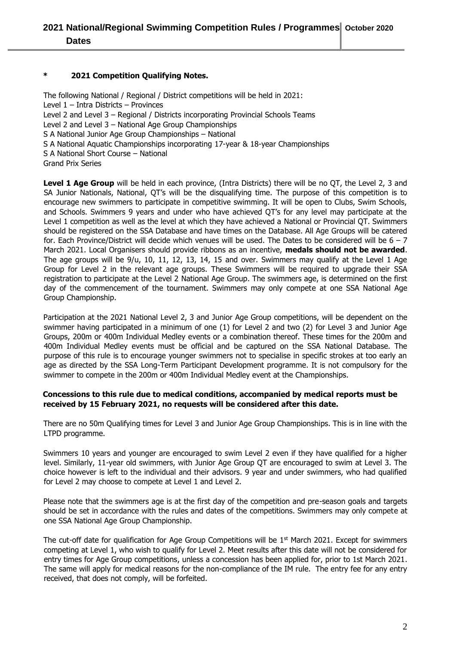#### **\* 2021 Competition Qualifying Notes.**

The following National / Regional / District competitions will be held in 2021: Level 1 – Intra Districts – Provinces Level 2 and Level 3 – Regional / Districts incorporating Provincial Schools Teams Level 2 and Level 3 – National Age Group Championships S A National Junior Age Group Championships – National S A National Aquatic Championships incorporating 17-year & 18-year Championships S A National Short Course – National Grand Prix Series

Level 1 Age Group will be held in each province, (Intra Districts) there will be no QT, the Level 2, 3 and SA Junior Nationals, National, QT's will be the disqualifying time. The purpose of this competition is to encourage new swimmers to participate in competitive swimming. It will be open to Clubs, Swim Schools, and Schools. Swimmers 9 years and under who have achieved QT's for any level may participate at the Level 1 competition as well as the level at which they have achieved a National or Provincial QT. Swimmers should be registered on the SSA Database and have times on the Database. All Age Groups will be catered for. Each Province/District will decide which venues will be used. The Dates to be considered will be 6 – 7 March 2021. Local Organisers should provide ribbons as an incentive, **medals should not be awarded**. The age groups will be 9/u, 10, 11, 12, 13, 14, 15 and over. Swimmers may qualify at the Level 1 Age Group for Level 2 in the relevant age groups. These Swimmers will be required to upgrade their SSA registration to participate at the Level 2 National Age Group. The swimmers age, is determined on the first day of the commencement of the tournament. Swimmers may only compete at one SSA National Age Group Championship.

Participation at the 2021 National Level 2, 3 and Junior Age Group competitions, will be dependent on the swimmer having participated in a minimum of one (1) for Level 2 and two (2) for Level 3 and Junior Age Groups, 200m or 400m Individual Medley events or a combination thereof. These times for the 200m and 400m Individual Medley events must be official and be captured on the SSA National Database. The purpose of this rule is to encourage younger swimmers not to specialise in specific strokes at too early an age as directed by the SSA Long-Term Participant Development programme. It is not compulsory for the swimmer to compete in the 200m or 400m Individual Medley event at the Championships.

#### **Concessions to this rule due to medical conditions, accompanied by medical reports must be received by 15 February 2021, no requests will be considered after this date.**

There are no 50m Qualifying times for Level 3 and Junior Age Group Championships. This is in line with the LTPD programme.

Swimmers 10 years and younger are encouraged to swim Level 2 even if they have qualified for a higher level. Similarly, 11-year old swimmers, with Junior Age Group QT are encouraged to swim at Level 3. The choice however is left to the individual and their advisors. 9 year and under swimmers, who had qualified for Level 2 may choose to compete at Level 1 and Level 2.

Please note that the swimmers age is at the first day of the competition and pre-season goals and targets should be set in accordance with the rules and dates of the competitions. Swimmers may only compete at one SSA National Age Group Championship.

The cut-off date for qualification for Age Group Competitions will be 1<sup>st</sup> March 2021. Except for swimmers competing at Level 1, who wish to qualify for Level 2. Meet results after this date will not be considered for entry times for Age Group competitions, unless a concession has been applied for, prior to 1st March 2021. The same will apply for medical reasons for the non-compliance of the IM rule. The entry fee for any entry received, that does not comply, will be forfeited.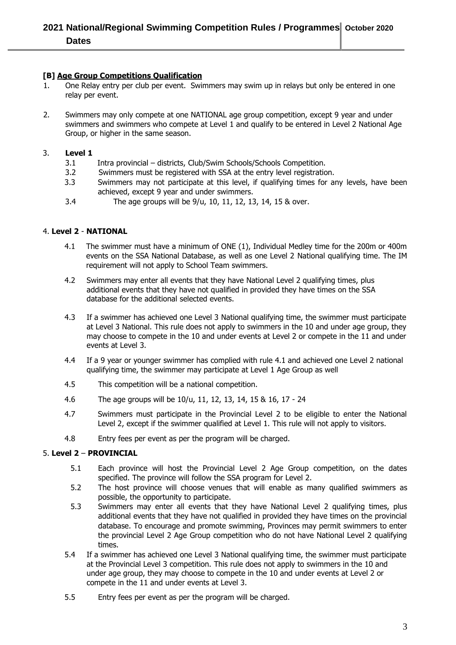# **2021 National/Regional Swimming Competition Rules / Programmes October 2020 Dates**

#### **[B] Age Group Competitions Qualification**

- 1. One Relay entry per club per event. Swimmers may swim up in relays but only be entered in one relay per event.
- 2. Swimmers may only compete at one NATIONAL age group competition, except 9 year and under swimmers and swimmers who compete at Level 1 and qualify to be entered in Level 2 National Age Group, or higher in the same season.

#### 3. **Level 1**

- 3.1 Intra provincial districts, Club/Swim Schools/Schools Competition.
- 3.2 Swimmers must be registered with SSA at the entry level registration.
- 3.3 Swimmers may not participate at this level, if qualifying times for any levels, have been achieved, except 9 year and under swimmers.
- 3.4 The age groups will be 9/u, 10, 11, 12, 13, 14, 15 & over.

#### 4. **Level 2** - **NATIONAL**

- 4.1 The swimmer must have a minimum of ONE (1), Individual Medley time for the 200m or 400m events on the SSA National Database, as well as one Level 2 National qualifying time. The IM requirement will not apply to School Team swimmers.
- 4.2 Swimmers may enter all events that they have National Level 2 qualifying times, plus additional events that they have not qualified in provided they have times on the SSA database for the additional selected events.
- 4.3 If a swimmer has achieved one Level 3 National qualifying time, the swimmer must participate at Level 3 National. This rule does not apply to swimmers in the 10 and under age group, they may choose to compete in the 10 and under events at Level 2 or compete in the 11 and under events at Level 3.
- 4.4 If a 9 year or younger swimmer has complied with rule 4.1 and achieved one Level 2 national qualifying time, the swimmer may participate at Level 1 Age Group as well
- 4.5 This competition will be a national competition.
- 4.6 The age groups will be 10/u, 11, 12, 13, 14, 15 & 16, 17 24
- 4.7 Swimmers must participate in the Provincial Level 2 to be eligible to enter the National Level 2, except if the swimmer qualified at Level 1. This rule will not apply to visitors.
- 4.8 Entry fees per event as per the program will be charged.

#### 5. **Level 2** – **PROVINCIAL**

- 5.1 Each province will host the Provincial Level 2 Age Group competition, on the dates specified. The province will follow the SSA program for Level 2.
- 5.2 The host province will choose venues that will enable as many qualified swimmers as possible, the opportunity to participate.
- 5.3 Swimmers may enter all events that they have National Level 2 qualifying times, plus additional events that they have not qualified in provided they have times on the provincial database. To encourage and promote swimming, Provinces may permit swimmers to enter the provincial Level 2 Age Group competition who do not have National Level 2 qualifying times.
- 5.4 If a swimmer has achieved one Level 3 National qualifying time, the swimmer must participate at the Provincial Level 3 competition. This rule does not apply to swimmers in the 10 and under age group, they may choose to compete in the 10 and under events at Level 2 or compete in the 11 and under events at Level 3.
- 5.5 Entry fees per event as per the program will be charged.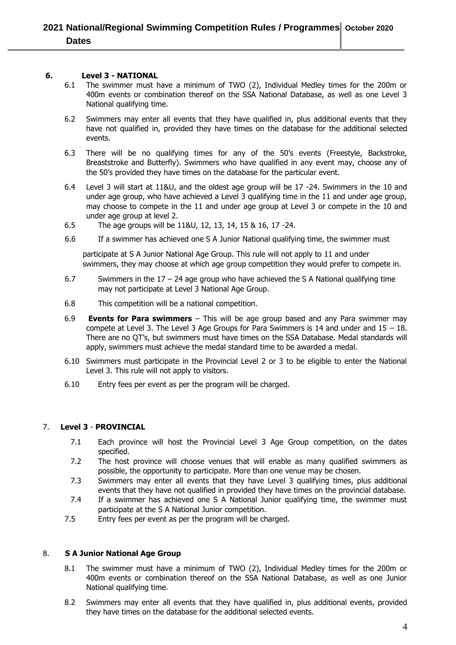#### **6. Level 3 - NATIONAL**

- 6.1 The swimmer must have a minimum of TWO (2), Individual Medley times for the 200m or 400m events or combination thereof on the SSA National Database, as well as one Level 3 National qualifying time.
- 6.2 Swimmers may enter all events that they have qualified in, plus additional events that they have not qualified in, provided they have times on the database for the additional selected events.
- 6.3 There will be no qualifying times for any of the 50's events (Freestyle, Backstroke, Breaststroke and Butterfly). Swimmers who have qualified in any event may, choose any of the 50's provided they have times on the database for the particular event.
- 6.4 Level 3 will start at 11&U, and the oldest age group will be 17 -24. Swimmers in the 10 and under age group, who have achieved a Level 3 qualifying time in the 11 and under age group, may choose to compete in the 11 and under age group at Level 3 or compete in the 10 and under age group at level 2.
- 6.5 The age groups will be 11&U, 12, 13, 14, 15 & 16, 17 -24.
- 6.6 If a swimmer has achieved one S A Junior National qualifying time, the swimmer must

participate at S A Junior National Age Group. This rule will not apply to 11 and under swimmers, they may choose at which age group competition they would prefer to compete in.

- 6.7 Swimmers in the  $17 24$  age group who have achieved the S A National qualifying time may not participate at Level 3 National Age Group.
- 6.8 This competition will be a national competition.
- 6.9 **Events for Para swimmers**  This will be age group based and any Para swimmer may compete at Level 3. The Level 3 Age Groups for Para Swimmers is 14 and under and 15 – 18. There are no QT's, but swimmers must have times on the SSA Database. Medal standards will apply, swimmers must achieve the medal standard time to be awarded a medal.
- 6.10 Swimmers must participate in the Provincial Level 2 or 3 to be eligible to enter the National Level 3. This rule will not apply to visitors.
- 6.10 Entry fees per event as per the program will be charged.

#### 7. **Level 3** - **PROVINCIAL**

- 7.1 Each province will host the Provincial Level 3 Age Group competition, on the dates specified.
- 7.2 The host province will choose venues that will enable as many qualified swimmers as possible, the opportunity to participate. More than one venue may be chosen.
- 7.3 Swimmers may enter all events that they have Level 3 qualifying times, plus additional events that they have not qualified in provided they have times on the provincial database.
- 7.4 If a swimmer has achieved one S A National Junior qualifying time, the swimmer must participate at the S A National Junior competition.
- 7.5 Entry fees per event as per the program will be charged.

#### 8. **S A Junior National Age Group**

- 8.1 The swimmer must have a minimum of TWO (2), Individual Medley times for the 200m or 400m events or combination thereof on the SSA National Database, as well as one Junior National qualifying time.
- 8.2 Swimmers may enter all events that they have qualified in, plus additional events, provided they have times on the database for the additional selected events.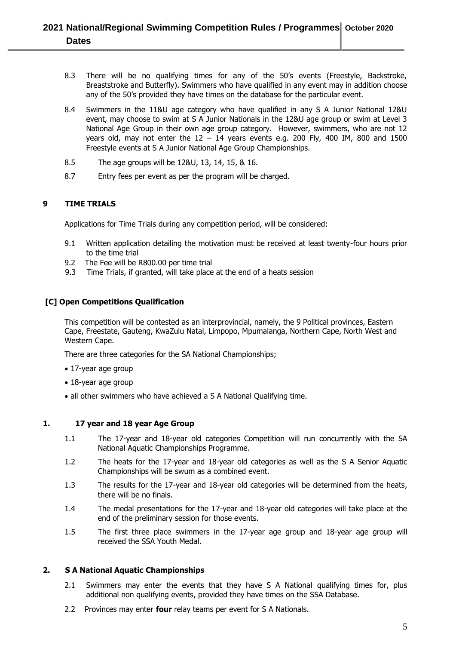- 8.3 There will be no qualifying times for any of the 50's events (Freestyle, Backstroke, Breaststroke and Butterfly). Swimmers who have qualified in any event may in addition choose any of the 50's provided they have times on the database for the particular event.
- 8.4 Swimmers in the 11&U age category who have qualified in any S A Junior National 12&U event, may choose to swim at S A Junior Nationals in the 12&U age group or swim at Level 3 National Age Group in their own age group category. However, swimmers, who are not 12 years old, may not enter the  $12 - 14$  years events e.g. 200 Fly, 400 IM, 800 and 1500 Freestyle events at S A Junior National Age Group Championships.
- 8.5 The age groups will be 12&U, 13, 14, 15, & 16.
- 8.7 Entry fees per event as per the program will be charged.

#### **9 TIME TRIALS**

Applications for Time Trials during any competition period, will be considered:

- 9.1 Written application detailing the motivation must be received at least twenty-four hours prior to the time trial
- 9.2 The Fee will be R800.00 per time trial
- 9.3 Time Trials, if granted, will take place at the end of a heats session

#### **[C] Open Competitions Qualification**

This competition will be contested as an interprovincial, namely, the 9 Political provinces, Eastern Cape, Freestate, Gauteng, KwaZulu Natal, Limpopo, Mpumalanga, Northern Cape, North West and Western Cape.

There are three categories for the SA National Championships;

- 17-year age group
- 18-year age group
- all other swimmers who have achieved a S A National Qualifying time.

#### **1. 17 year and 18 year Age Group**

- 1.1 The 17-year and 18-year old categories Competition will run concurrently with the SA National Aquatic Championships Programme.
- 1.2 The heats for the 17-year and 18-year old categories as well as the S A Senior Aquatic Championships will be swum as a combined event.
- 1.3 The results for the 17-year and 18-year old categories will be determined from the heats, there will be no finals.
- 1.4 The medal presentations for the 17-year and 18-year old categories will take place at the end of the preliminary session for those events.
- 1.5 The first three place swimmers in the 17-year age group and 18-year age group will received the SSA Youth Medal.

#### **2. S A National Aquatic Championships**

- 2.1 Swimmers may enter the events that they have S A National qualifying times for, plus additional non qualifying events, provided they have times on the SSA Database.
- 2.2 Provinces may enter **four** relay teams per event for S A Nationals.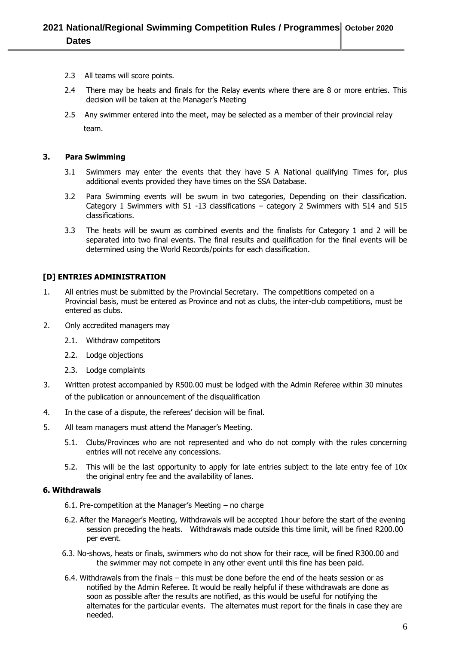- 2.3 All teams will score points.
- 2.4 There may be heats and finals for the Relay events where there are 8 or more entries. This decision will be taken at the Manager's Meeting
- 2.5 Any swimmer entered into the meet, may be selected as a member of their provincial relay team.

#### **3. Para Swimming**

- 3.1 Swimmers may enter the events that they have S A National qualifying Times for, plus additional events provided they have times on the SSA Database.
- 3.2 Para Swimming events will be swum in two categories, Depending on their classification. Category 1 Swimmers with S1 -13 classifications – category 2 Swimmers with S14 and S15 classifications.
- 3.3 The heats will be swum as combined events and the finalists for Category 1 and 2 will be separated into two final events. The final results and qualification for the final events will be determined using the World Records/points for each classification.

#### **[D] ENTRIES ADMINISTRATION**

- 1. All entries must be submitted by the Provincial Secretary. The competitions competed on a Provincial basis, must be entered as Province and not as clubs, the inter-club competitions, must be entered as clubs.
- 2. Only accredited managers may
	- 2.1. Withdraw competitors
	- 2.2. Lodge objections
	- 2.3. Lodge complaints
- 3. Written protest accompanied by R500.00 must be lodged with the Admin Referee within 30 minutes of the publication or announcement of the disqualification
- 4. In the case of a dispute, the referees' decision will be final.
- 5. All team managers must attend the Manager's Meeting.
	- 5.1. Clubs/Provinces who are not represented and who do not comply with the rules concerning entries will not receive any concessions.
	- 5.2. This will be the last opportunity to apply for late entries subject to the late entry fee of 10x the original entry fee and the availability of lanes.

#### **6. Withdrawals**

- 6.1. Pre-competition at the Manager's Meeting no charge
- 6.2. After the Manager's Meeting, Withdrawals will be accepted 1hour before the start of the evening session preceding the heats. Withdrawals made outside this time limit, will be fined R200.00 per event.
- 6.3. No-shows, heats or finals, swimmers who do not show for their race, will be fined R300.00 and the swimmer may not compete in any other event until this fine has been paid.
- 6.4. Withdrawals from the finals this must be done before the end of the heats session or as notified by the Admin Referee. It would be really helpful if these withdrawals are done as soon as possible after the results are notified, as this would be useful for notifying the alternates for the particular events. The alternates must report for the finals in case they are needed.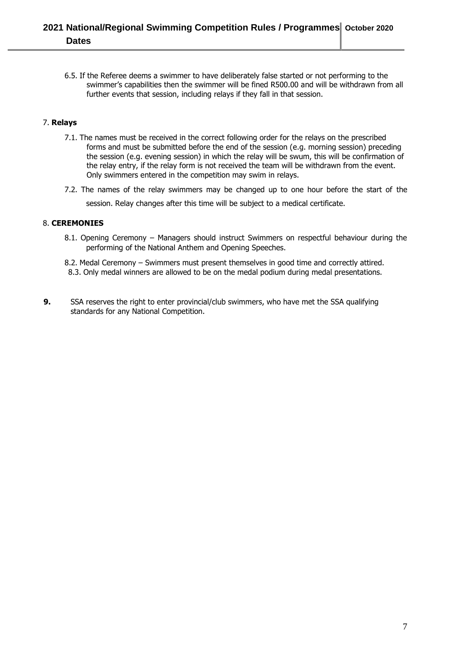## **2021 National/Regional Swimming Competition Rules / Programmes October 2020 Dates**

6.5. If the Referee deems a swimmer to have deliberately false started or not performing to the swimmer's capabilities then the swimmer will be fined R500.00 and will be withdrawn from all further events that session, including relays if they fall in that session.

#### 7. **Relays**

- 7.1. The names must be received in the correct following order for the relays on the prescribed forms and must be submitted before the end of the session (e.g. morning session) preceding the session (e.g. evening session) in which the relay will be swum, this will be confirmation of the relay entry, if the relay form is not received the team will be withdrawn from the event. Only swimmers entered in the competition may swim in relays.
- 7.2. The names of the relay swimmers may be changed up to one hour before the start of the session. Relay changes after this time will be subject to a medical certificate.

#### 8. **CEREMONIES**

- 8.1. Opening Ceremony Managers should instruct Swimmers on respectful behaviour during the performing of the National Anthem and Opening Speeches.
- 8.2. Medal Ceremony Swimmers must present themselves in good time and correctly attired.
- 8.3. Only medal winners are allowed to be on the medal podium during medal presentations.
- **9.** SSA reserves the right to enter provincial/club swimmers, who have met the SSA qualifying standards for any National Competition.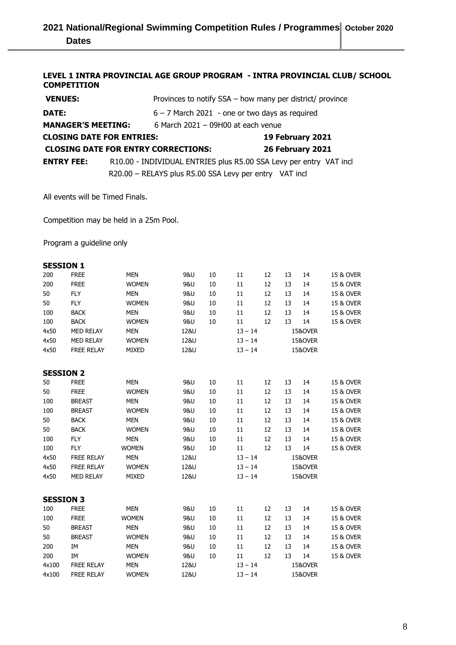#### **LEVEL 1 INTRA PROVINCIAL AGE GROUP PROGRAM - INTRA PROVINCIAL CLUB/ SCHOOL COMPETITION**

| <b>VENUES:</b>                                                    |  | Provinces to notify SSA - how many per district/ province          |  |                  |  |  |  |  |
|-------------------------------------------------------------------|--|--------------------------------------------------------------------|--|------------------|--|--|--|--|
| DATE:                                                             |  | $6 - 7$ March 2021 - one or two days as required                   |  |                  |  |  |  |  |
| <b>MANAGER'S MEETING:</b><br>6 March $2021 - 09H00$ at each venue |  |                                                                    |  |                  |  |  |  |  |
| <b>CLOSING DATE FOR ENTRIES:</b>                                  |  |                                                                    |  | 19 February 2021 |  |  |  |  |
| <b>CLOSING DATE FOR ENTRY CORRECTIONS:</b>                        |  |                                                                    |  | 26 February 2021 |  |  |  |  |
| <b>ENTRY FEE:</b>                                                 |  | R10.00 - INDIVIDUAL ENTRIES plus R5.00 SSA Levy per entry VAT incl |  |                  |  |  |  |  |
|                                                                   |  | R20.00 - RELAYS plus R5.00 SSA Levy per entry VAT incl             |  |                  |  |  |  |  |

All events will be Timed Finals.

Competition may be held in a 25m Pool.

Program a guideline only

| <b>SESSION 1</b> |                   |              |                |    |           |    |    |                    |           |
|------------------|-------------------|--------------|----------------|----|-----------|----|----|--------------------|-----------|
| 200              | <b>FREE</b>       | <b>MEN</b>   | <b>9&amp;U</b> | 10 | 11        | 12 | 13 | 14                 | 15 & OVER |
| 200              | <b>FREE</b>       | <b>WOMEN</b> | <b>9&amp;U</b> | 10 | 11        | 12 | 13 | 14                 | 15 & OVER |
| 50               | <b>FLY</b>        | <b>MEN</b>   | <b>9&amp;U</b> | 10 | 11        | 12 | 13 | 14                 | 15 & OVER |
| 50               | <b>FLY</b>        | <b>WOMEN</b> | <b>9&amp;U</b> | 10 | 11        | 12 | 13 | 14                 | 15 & OVER |
| 100              | <b>BACK</b>       | <b>MEN</b>   | <b>9&amp;U</b> | 10 | 11        | 12 | 13 | 14                 | 15 & OVER |
| 100              | <b>BACK</b>       | <b>WOMEN</b> | <b>9&amp;U</b> | 10 | 11        | 12 | 13 | 14                 | 15 & OVER |
| 4x50             | <b>MED RELAY</b>  | <b>MEN</b>   | 12&U           |    | $13 - 14$ |    |    | 15&OVER            |           |
| 4x50             | MED RELAY         | <b>WOMEN</b> | 12&U           |    | $13 - 14$ |    |    | 15&OVER            |           |
| 4x50             | <b>FREE RELAY</b> | <b>MIXED</b> | 12&U           |    | $13 - 14$ |    |    | 15&OVER            |           |
|                  |                   |              |                |    |           |    |    |                    |           |
| <b>SESSION 2</b> |                   |              |                |    |           |    |    |                    |           |
| 50               | <b>FREE</b>       | <b>MEN</b>   | <b>9&amp;U</b> | 10 | 11        | 12 | 13 | 14                 | 15 & OVER |
| 50               | <b>FREE</b>       | <b>WOMEN</b> | <b>9&amp;U</b> | 10 | 11        | 12 | 13 | 14                 | 15 & OVER |
| 100              | <b>BREAST</b>     | <b>MEN</b>   | <b>9&amp;U</b> | 10 | 11        | 12 | 13 | 14                 | 15 & OVER |
| 100              | <b>BREAST</b>     | <b>WOMEN</b> | <b>9&amp;U</b> | 10 | 11        | 12 | 13 | 14                 | 15 & OVER |
| 50               | <b>BACK</b>       | <b>MEN</b>   | <b>9&amp;U</b> | 10 | 11        | 12 | 13 | 14                 | 15 & OVER |
| 50               | <b>BACK</b>       | <b>WOMEN</b> | <b>9&amp;U</b> | 10 | 11        | 12 | 13 | 14                 | 15 & OVER |
| 100              | <b>FLY</b>        | <b>MEN</b>   | <b>9&amp;U</b> | 10 | 11        | 12 | 13 | 14                 | 15 & OVER |
| 100              | <b>FLY</b>        | <b>WOMEN</b> | <b>9&amp;U</b> | 10 | 11        | 12 | 13 | 14                 | 15 & OVER |
| 4x50             | <b>FREE RELAY</b> | <b>MEN</b>   | 12&U           |    | $13 - 14$ |    |    | <b>15&amp;OVER</b> |           |
| 4x50             | <b>FREE RELAY</b> | <b>WOMEN</b> | 12&U           |    | $13 - 14$ |    |    | 15&OVER            |           |
| 4x50             | <b>MED RELAY</b>  | <b>MIXED</b> | 12&U           |    | $13 - 14$ |    |    | 15&OVER            |           |
|                  |                   |              |                |    |           |    |    |                    |           |
| <b>SESSION 3</b> |                   |              |                |    |           |    |    |                    |           |
| 100              | <b>FREE</b>       | <b>MEN</b>   | <b>9&amp;U</b> | 10 | 11        | 12 | 13 | 14                 | 15 & OVER |
| 100              | <b>FREE</b>       | <b>WOMEN</b> | <b>9&amp;U</b> | 10 | 11        | 12 | 13 | 14                 | 15 & OVER |
| 50               | <b>BREAST</b>     | <b>MEN</b>   | 9&U            | 10 | 11        | 12 | 13 | 14                 | 15 & OVER |
| 50               | <b>BREAST</b>     | <b>WOMEN</b> | <b>9&amp;U</b> | 10 | 11        | 12 | 13 | 14                 | 15 & OVER |
| 200              | IM                | <b>MEN</b>   | 9&U            | 10 | 11        | 12 | 13 | 14                 | 15 & OVER |
| 200              | IM                | <b>WOMEN</b> | <b>9&amp;U</b> | 10 | 11        | 12 | 13 | 14                 | 15 & OVER |
| 4x100            | <b>FREE RELAY</b> | <b>MEN</b>   | 12&U           |    | $13 - 14$ |    |    | 15&OVER            |           |
| 4x100            | <b>FREE RELAY</b> | <b>WOMEN</b> | 12&U           |    | $13 - 14$ |    |    | <b>15&amp;OVER</b> |           |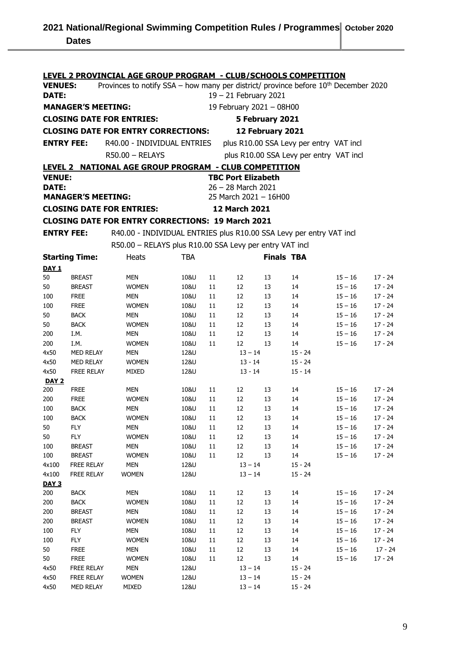| <u>LEVEL 2 PROVINCIAL AGE GROUP PROGRAM - CLUB/SCHOOLS COMPETITION</u> |                                                   |                                                                                       |              |           |                                         |                   |                                         |                        |                      |  |
|------------------------------------------------------------------------|---------------------------------------------------|---------------------------------------------------------------------------------------|--------------|-----------|-----------------------------------------|-------------------|-----------------------------------------|------------------------|----------------------|--|
| <b>VENUES:</b>                                                         |                                                   | Provinces to notify SSA – how many per district/ province before $10th$ December 2020 |              |           |                                         |                   |                                         |                        |                      |  |
| DATE:                                                                  |                                                   |                                                                                       |              |           | $19 - 21$ February 2021                 |                   |                                         |                        |                      |  |
|                                                                        | <b>MANAGER'S MEETING:</b>                         |                                                                                       |              |           | 19 February 2021 - 08H00                |                   |                                         |                        |                      |  |
|                                                                        |                                                   | <b>CLOSING DATE FOR ENTRIES:</b>                                                      |              |           |                                         | 5 February 2021   |                                         |                        |                      |  |
|                                                                        |                                                   | <b>CLOSING DATE FOR ENTRY CORRECTIONS:</b>                                            |              |           |                                         | 12 February 2021  |                                         |                        |                      |  |
|                                                                        |                                                   |                                                                                       |              |           |                                         |                   |                                         |                        |                      |  |
| <b>ENTRY FEE:</b>                                                      |                                                   | R40.00 - INDIVIDUAL ENTRIES                                                           |              |           | plus R10.00 SSA Levy per entry VAT incl |                   |                                         |                        |                      |  |
|                                                                        |                                                   | $R50.00 - RELAYS$                                                                     |              |           |                                         |                   | plus R10.00 SSA Levy per entry VAT incl |                        |                      |  |
| LEVEL 2                                                                |                                                   | <b>NATIONAL AGE GROUP PROGRAM - CLUB COMPETITION</b>                                  |              |           |                                         |                   |                                         |                        |                      |  |
| <b>VENUE:</b>                                                          |                                                   |                                                                                       |              |           | <b>TBC Port Elizabeth</b>               |                   |                                         |                        |                      |  |
| <b>DATE:</b>                                                           |                                                   |                                                                                       |              |           | 26 - 28 March 2021                      |                   |                                         |                        |                      |  |
|                                                                        | <b>MANAGER'S MEETING:</b>                         |                                                                                       |              |           | 25 March 2021 - 16H00                   |                   |                                         |                        |                      |  |
|                                                                        | <b>CLOSING DATE FOR ENTRIES:</b><br>12 March 2021 |                                                                                       |              |           |                                         |                   |                                         |                        |                      |  |
|                                                                        |                                                   | <b>CLOSING DATE FOR ENTRY CORRECTIONS: 19 March 2021</b>                              |              |           |                                         |                   |                                         |                        |                      |  |
| <b>ENTRY FEE:</b>                                                      |                                                   | R40.00 - INDIVIDUAL ENTRIES plus R10.00 SSA Levy per entry VAT incl                   |              |           |                                         |                   |                                         |                        |                      |  |
|                                                                        |                                                   | R50.00 - RELAYS plus R10.00 SSA Levy per entry VAT incl                               |              |           |                                         |                   |                                         |                        |                      |  |
|                                                                        | <b>Starting Time:</b>                             | Heats                                                                                 | <b>TBA</b>   |           |                                         | <b>Finals TBA</b> |                                         |                        |                      |  |
| <b>DAY 1</b>                                                           |                                                   |                                                                                       |              |           |                                         |                   |                                         |                        |                      |  |
| 50                                                                     | <b>BREAST</b>                                     | MEN                                                                                   | 10&U         | 11        | 12                                      | 13                | 14                                      | $15 - 16$              | $17 - 24$            |  |
| 50                                                                     | <b>BREAST</b>                                     | <b>WOMEN</b>                                                                          | 10&U         | 11        | 12                                      | 13                | 14                                      | $15 - 16$              | $17 - 24$            |  |
| 100                                                                    | <b>FREE</b>                                       | MEN                                                                                   | 10&U         | 11        | 12                                      | 13                | 14                                      | $15 - 16$              | $17 - 24$            |  |
| 100                                                                    | <b>FREE</b>                                       | <b>WOMEN</b>                                                                          | 10&U         | 11        | 12                                      | 13                | 14                                      | $15 - 16$              | $17 - 24$            |  |
| 50                                                                     | <b>BACK</b>                                       | MEN                                                                                   | 10&U         | 11        | 12                                      | 13                | 14                                      | $15 - 16$              | $17 - 24$            |  |
| 50                                                                     | <b>BACK</b>                                       | <b>WOMEN</b>                                                                          | 10&U         | 11        | 12                                      | 13                | 14                                      | $15 - 16$              | $17 - 24$            |  |
| 200                                                                    | I.M.                                              | MEN                                                                                   | 10&U         | 11        | 12                                      | 13                | 14                                      | $15 - 16$              | 17 - 24              |  |
| 200                                                                    | I.M.                                              | <b>WOMEN</b>                                                                          | 10&U         | 11        | 12                                      | 13                | 14                                      | $15 - 16$              | $17 - 24$            |  |
| 4x50                                                                   | <b>MED RELAY</b>                                  | MEN                                                                                   | 12&U         |           | $13 - 14$                               |                   | $15 - 24$                               |                        |                      |  |
| 4x50                                                                   | <b>MED RELAY</b>                                  | <b>WOMEN</b>                                                                          | 12&U         | $13 - 14$ |                                         |                   | $15 - 24$                               |                        |                      |  |
| 4x50                                                                   | <b>FREE RELAY</b>                                 | MIXED                                                                                 | 12&U         |           | $13 - 14$                               |                   | $15 - 14$                               |                        |                      |  |
| <b>DAY 2</b>                                                           |                                                   |                                                                                       |              |           |                                         |                   |                                         |                        |                      |  |
| 200                                                                    | <b>FREE</b>                                       | MEN                                                                                   | 10&U         | 11        | 12                                      | 13                | 14                                      | $15 - 16$              | 17 - 24              |  |
| 200                                                                    | <b>FREE</b>                                       | <b>WOMEN</b>                                                                          | 10&U         | 11        | 12                                      | 13                | 14                                      | $15 - 16$              | $17 - 24$            |  |
| 100                                                                    | <b>BACK</b>                                       | MEN                                                                                   | 10&U         | 11        | 12                                      | 13                | 14                                      | $15 - 16$              | $17 - 24$            |  |
| 100                                                                    | <b>BACK</b>                                       | <b>WOMEN</b>                                                                          | 10&U         | 11        | 12                                      | 13                | 14                                      | $15 - 16$              | $17 - 24$            |  |
| 50                                                                     | <b>FLY</b>                                        | MEN                                                                                   | 10&U         | $11\,$    | 12<br>$12\,$                            | 13                | 14                                      | $15 - 16$<br>$15 - 16$ | $17 - 24$            |  |
| 50<br>100                                                              | <b>FLY</b>                                        | <b>WOMEN</b><br>MEN                                                                   | 10&U<br>10&U | 11<br>11  | $12\,$                                  | 13<br>13          | 14<br>14                                |                        | $17 - 24$            |  |
| 100                                                                    | <b>BREAST</b><br><b>BREAST</b>                    | <b>WOMEN</b>                                                                          | 10&U         | 11        | 12                                      | 13                | 14                                      | $15 - 16$<br>$15 - 16$ | 17 - 24<br>$17 - 24$ |  |
| 4x100                                                                  | FREE RELAY                                        | <b>MEN</b>                                                                            | 12&U         |           | $13 - 14$                               |                   | $15 - 24$                               |                        |                      |  |
| 4x100                                                                  | FREE RELAY                                        | <b>WOMEN</b>                                                                          | 12&U         |           | $13 - 14$                               |                   | $15 - 24$                               |                        |                      |  |
| DAY <sub>3</sub>                                                       |                                                   |                                                                                       |              |           |                                         |                   |                                         |                        |                      |  |
| 200                                                                    | <b>BACK</b>                                       | <b>MEN</b>                                                                            | 10&U         | 11        | 12                                      | 13                | 14                                      | $15 - 16$              | 17 - 24              |  |
| 200                                                                    | <b>BACK</b>                                       | <b>WOMEN</b>                                                                          | 10&U         | $11\,$    | 12                                      | 13                | 14                                      | $15 - 16$              | $17 - 24$            |  |
| 200                                                                    | <b>BREAST</b>                                     | MEN                                                                                   | 10&U         | 11        | 12                                      | 13                | 14                                      | $15 - 16$              | $17 - 24$            |  |
| 200                                                                    | <b>BREAST</b>                                     | <b>WOMEN</b>                                                                          | 10&U         | 11        | 12                                      | 13                | 14                                      | $15 - 16$              | $17 - 24$            |  |
| 100                                                                    | <b>FLY</b>                                        | <b>MEN</b>                                                                            | 10&U         | 11        | 12                                      | 13                | 14                                      | $15 - 16$              | $17 - 24$            |  |
| 100                                                                    | <b>FLY</b>                                        | <b>WOMEN</b>                                                                          | 10&U         | 11        | 12                                      | 13                | 14                                      | $15 - 16$              | $17 - 24$            |  |
| 50                                                                     | <b>FREE</b>                                       | MEN                                                                                   | 10&U         | 11        | 12                                      | 13                | 14                                      | $15 - 16$              | $17 - 24$            |  |
| 50                                                                     | <b>FREE</b>                                       | <b>WOMEN</b>                                                                          | 10&U         | 11        | $12\,$                                  | 13                | 14                                      | $15 - 16$              | $17 - 24$            |  |
| 4x50                                                                   | FREE RELAY                                        | <b>MEN</b>                                                                            | 12&U         |           | $13 - 14$                               |                   | $15 - 24$                               |                        |                      |  |
| 4x50                                                                   | FREE RELAY                                        | <b>WOMEN</b>                                                                          | 12&U         |           | $13 - 14$                               |                   | $15 - 24$                               |                        |                      |  |
| 4x50                                                                   | MED RELAY                                         | MIXED                                                                                 | 12&U         |           | $13 - 14$                               |                   | $15 - 24$                               |                        |                      |  |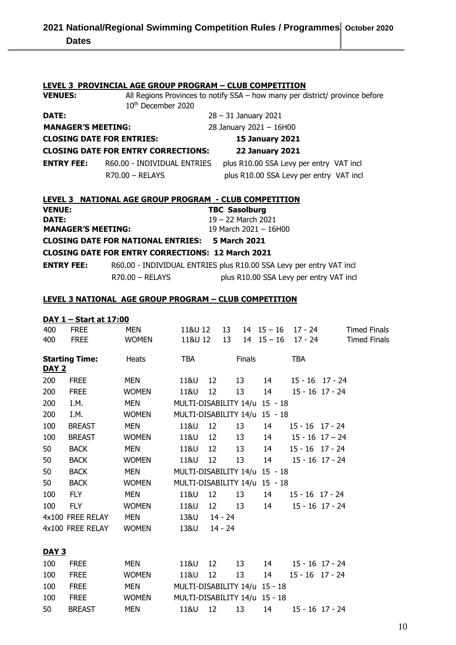|                           | <b>LEVEL 3 PROVINCIAL AGE GROUP PROGRAM - CLUB COMPETITION</b> |                                                                              |  |  |  |  |  |  |  |
|---------------------------|----------------------------------------------------------------|------------------------------------------------------------------------------|--|--|--|--|--|--|--|
| <b>VENUES:</b>            |                                                                | All Regions Provinces to notify SSA - how many per district/ province before |  |  |  |  |  |  |  |
|                           | 10 <sup>th</sup> December 2020                                 |                                                                              |  |  |  |  |  |  |  |
| DATE:                     |                                                                | $28 - 31$ January 2021                                                       |  |  |  |  |  |  |  |
| <b>MANAGER'S MEETING:</b> |                                                                | 28 January 2021 - 16H00                                                      |  |  |  |  |  |  |  |
|                           | <b>CLOSING DATE FOR ENTRIES:</b>                               | <b>15 January 2021</b>                                                       |  |  |  |  |  |  |  |
|                           | <b>CLOSING DATE FOR ENTRY CORRECTIONS:</b>                     | <b>22 January 2021</b>                                                       |  |  |  |  |  |  |  |
| <b>ENTRY FEE:</b>         | R60.00 - INDIVIDUAL ENTRIES                                    | plus R10.00 SSA Levy per entry VAT incl                                      |  |  |  |  |  |  |  |
|                           | $R70.00 - RELAYS$                                              | plus R10.00 SSA Levy per entry VAT incl                                      |  |  |  |  |  |  |  |
|                           |                                                                |                                                                              |  |  |  |  |  |  |  |
|                           | LEVEL 3 NATIONAL AGE GROUP PROGRAM - CLUB COMPETITION          |                                                                              |  |  |  |  |  |  |  |
| <b>VENUE:</b>             |                                                                | <b>TBC Sasolburg</b>                                                         |  |  |  |  |  |  |  |
| DATE:                     |                                                                | $19 - 22$ March 2021                                                         |  |  |  |  |  |  |  |
| <b>MANAGER'S MEETING:</b> |                                                                | 19 March 2021 - 16H00                                                        |  |  |  |  |  |  |  |
|                           | <b>CLOSING DATE FOR NATIONAL ENTRIES: 5 March 2021</b>         |                                                                              |  |  |  |  |  |  |  |
|                           | <b>CLOSING DATE FOR ENTRY CORRECTIONS: 12 March 2021</b>       |                                                                              |  |  |  |  |  |  |  |
| <b>ENTRY FEE:</b>         |                                                                | R60.00 - INDIVIDUAL ENTRIES plus R10.00 SSA Levy per entry VAT incl          |  |  |  |  |  |  |  |
|                           | $R70.00 - RELAYS$                                              | plus R10.00 SSA Levy per entry VAT incl                                      |  |  |  |  |  |  |  |

#### **LEVEL 3 NATIONAL AGE GROUP PROGRAM – CLUB COMPETITION**

| DAY 1 – Start at 17:00 |
|------------------------|
|------------------------|

| 400          | <b>FREE</b>           | <b>MEN</b>   | 11&U 12                       |                   | 13        |        | $14$ $15 - 16$ | 17 - 24                  | <b>Timed Finals</b> |  |
|--------------|-----------------------|--------------|-------------------------------|-------------------|-----------|--------|----------------|--------------------------|---------------------|--|
| 400          | <b>FREE</b>           | <b>WOMEN</b> | 11&U 12                       |                   | 13        |        |                | $14$ $15 - 16$ $17 - 24$ | <b>Timed Finals</b> |  |
| <b>DAY 2</b> | <b>Starting Time:</b> | Heats        | <b>TBA</b>                    |                   |           | Finals |                | <b>TBA</b>               |                     |  |
| 200          | <b>FREE</b>           | MEN          | 11&U                          | 12 <sup>2</sup>   |           | 13     | 14             |                          | $15 - 16$ $17 - 24$ |  |
| 200          | <b>FREE</b>           | <b>WOMEN</b> | 11&U                          | 12                |           | 13     | 14             |                          | $15 - 16$ $17 - 24$ |  |
| 200          | I.M.                  | <b>MEN</b>   | MULTI-DISABILITY 14/u 15 - 18 |                   |           |        |                |                          |                     |  |
| 200          | I.M.                  | <b>WOMEN</b> | MULTI-DISABILITY 14/u 15 - 18 |                   |           |        |                |                          |                     |  |
| 100          | <b>BREAST</b>         | <b>MEN</b>   | 11&U                          | 12                |           | 13     | 14             | $15 - 16$ $17 - 24$      |                     |  |
| 100          | <b>BREAST</b>         | <b>WOMEN</b> | 11&U                          | 12                |           | 13     | 14             | $15 - 16$ $17 - 24$      |                     |  |
| 50           | <b>BACK</b>           | <b>MEN</b>   | 11&U                          | 12                |           | 13     | 14             | $15 - 16$ $17 - 24$      |                     |  |
| 50           | <b>BACK</b>           | <b>WOMEN</b> | 11&U                          | 12                |           | 13     | 14             | $15 - 16$ $17 - 24$      |                     |  |
| 50           | <b>BACK</b>           | <b>MEN</b>   | MULTI-DISABILITY 14/u 15 - 18 |                   |           |        |                |                          |                     |  |
| 50           | <b>BACK</b>           | <b>WOMEN</b> | MULTI-DISABILITY 14/u 15 - 18 |                   |           |        |                |                          |                     |  |
| 100          | <b>FLY</b>            | <b>MEN</b>   | 11&U                          | $12 \overline{ }$ |           | 13     | 14             | $15 - 16$ $17 - 24$      |                     |  |
| 100          | <b>FLY</b>            | <b>WOMEN</b> | 11&U                          | 12 <sup>2</sup>   |           | 13     | 14             |                          | $15 - 16$ $17 - 24$ |  |
|              | 4x100 FREE RELAY      | <b>MEN</b>   | 13&U                          |                   | 14 - 24   |        |                |                          |                     |  |
|              | 4x100 FREE RELAY      | <b>WOMEN</b> | 13&U                          |                   | $14 - 24$ |        |                |                          |                     |  |
| <b>DAY 3</b> |                       |              |                               |                   |           |        |                |                          |                     |  |
| 100          | <b>FREE</b>           | MEN          | 11&U                          | 12                |           | 13     | 14             |                          | $15 - 16$ $17 - 24$ |  |
| 100          | <b>FREE</b>           | <b>WOMEN</b> | 11&U                          | $12 \overline{ }$ | 13        |        | 14             | $15 - 16$ $17 - 24$      |                     |  |
| 100          | <b>FREE</b>           | MEN          | MULTI-DISABILITY 14/u 15 - 18 |                   |           |        |                |                          |                     |  |
| 100          | <b>FREE</b>           | <b>WOMEN</b> | MULTI-DISABILITY 14/u 15 - 18 |                   |           |        |                |                          |                     |  |
| 50           | <b>BREAST</b>         | <b>MEN</b>   | 11&U                          | 12                | 13        |        | 14             |                          | $15 - 16$ 17 - 24   |  |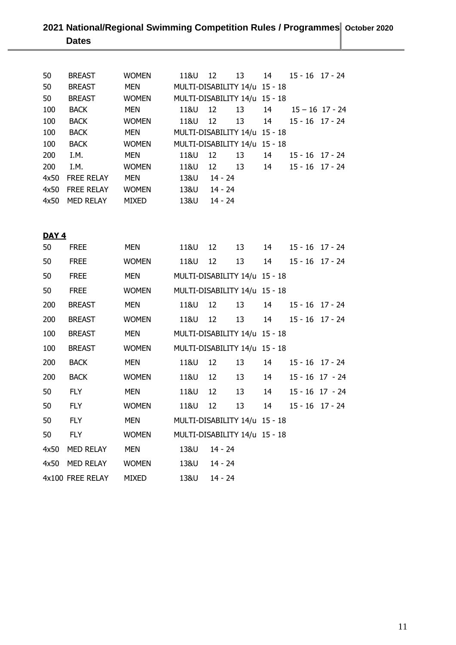# **2021 National/Regional Swimming Competition Rules / Programmes October 2020 Dates**

| <b>BREAST</b>     | <b>WOMEN</b> | 11&U | 12 | 13 | 14                                |                                                                |                                                                                                                                                                                 |
|-------------------|--------------|------|----|----|-----------------------------------|----------------------------------------------------------------|---------------------------------------------------------------------------------------------------------------------------------------------------------------------------------|
| <b>BREAST</b>     | <b>MEN</b>   |      |    |    |                                   |                                                                |                                                                                                                                                                                 |
| <b>BREAST</b>     | <b>WOMEN</b> |      |    |    |                                   |                                                                |                                                                                                                                                                                 |
| <b>BACK</b>       | <b>MEN</b>   | 11&U | 12 | 13 | 14                                |                                                                |                                                                                                                                                                                 |
| <b>BACK</b>       | <b>WOMEN</b> | 11&U | 12 | 13 | 14                                |                                                                |                                                                                                                                                                                 |
| <b>BACK</b>       | <b>MEN</b>   |      |    |    |                                   |                                                                |                                                                                                                                                                                 |
| <b>BACK</b>       | <b>WOMEN</b> |      |    |    |                                   |                                                                |                                                                                                                                                                                 |
| I.M.              | MEN          | 11&U | 12 | 13 | 14                                |                                                                |                                                                                                                                                                                 |
| I.M.              | <b>WOMEN</b> | 11&U | 12 | 13 | 14                                |                                                                |                                                                                                                                                                                 |
| <b>FREE RELAY</b> | <b>MEN</b>   | 13&U |    |    |                                   |                                                                |                                                                                                                                                                                 |
| <b>FREE RELAY</b> | <b>WOMEN</b> | 13&U |    |    |                                   |                                                                |                                                                                                                                                                                 |
| <b>MED RELAY</b>  | <b>MIXED</b> | 13&U |    |    |                                   |                                                                |                                                                                                                                                                                 |
|                   |              |      |    |    | 14 - 24<br>$14 - 24$<br>$14 - 24$ | MULTI-DISABILITY 14/u 15 - 18<br>MULTI-DISABILITY 14/u 15 - 18 | $15 - 16$ $17 - 24$<br>MULTI-DISABILITY 14/u 15 - 18<br>$15 - 16$ 17 - 24<br>$15 - 16$ $17 - 24$<br>MULTI-DISABILITY 14/u 15 - 18<br>$15 - 16$ $17 - 24$<br>$15 - 16$ $17 - 24$ |

# $\underline{\text{DAY 4}}$ <br>50 FREE

| 50   | <b>FREE</b>      | MEN          | 11&U                          | 12        | 13 | 14 |                     | $15 - 16$ $17 - 24$ |
|------|------------------|--------------|-------------------------------|-----------|----|----|---------------------|---------------------|
| 50   | <b>FREE</b>      | <b>WOMEN</b> | 11&U                          | 12        | 13 | 14 |                     | $15 - 16$ $17 - 24$ |
| 50   | <b>FREE</b>      | <b>MEN</b>   | MULTI-DISABILITY 14/u 15 - 18 |           |    |    |                     |                     |
| 50   | <b>FREE</b>      | <b>WOMEN</b> | MULTI-DISABILITY 14/u 15 - 18 |           |    |    |                     |                     |
| 200  | <b>BREAST</b>    | <b>MEN</b>   | 11&U                          | 12        | 13 | 14 | $15 - 16$ $17 - 24$ |                     |
| 200  | <b>BREAST</b>    | <b>WOMEN</b> | 11&U                          | 12        | 13 | 14 | $15 - 16$ $17 - 24$ |                     |
| 100  | <b>BREAST</b>    | <b>MEN</b>   | MULTI-DISABILITY 14/u 15 - 18 |           |    |    |                     |                     |
| 100  | <b>BREAST</b>    | <b>WOMEN</b> | MULTI-DISABILITY 14/u 15 - 18 |           |    |    |                     |                     |
| 200  | <b>BACK</b>      | <b>MEN</b>   | 11&U                          | 12        | 13 | 14 |                     | $15 - 16$ $17 - 24$ |
| 200  | <b>BACK</b>      | <b>WOMEN</b> | 11&U                          | 12        | 13 | 14 | $15 - 16$ $17 - 24$ |                     |
| 50   | <b>FLY</b>       | <b>MEN</b>   | 11&U                          | 12        | 13 | 14 |                     | 15 - 16 17 - 24     |
| 50   | <b>FLY</b>       | <b>WOMEN</b> | 11&U                          | 12        | 13 | 14 |                     | $15 - 16$ $17 - 24$ |
| 50   | <b>FLY</b>       | <b>MEN</b>   | MULTI-DISABILITY 14/u 15 - 18 |           |    |    |                     |                     |
| 50   | <b>FLY</b>       | <b>WOMEN</b> | MULTI-DISABILITY 14/u 15 - 18 |           |    |    |                     |                     |
| 4x50 | MED RELAY        | <b>MEN</b>   | 13&U                          | $14 - 24$ |    |    |                     |                     |
| 4x50 | MED RELAY        | <b>WOMEN</b> | 13&U                          | $14 - 24$ |    |    |                     |                     |
|      | 4x100 FREE RELAY | <b>MIXED</b> | 13&U                          | $14 - 24$ |    |    |                     |                     |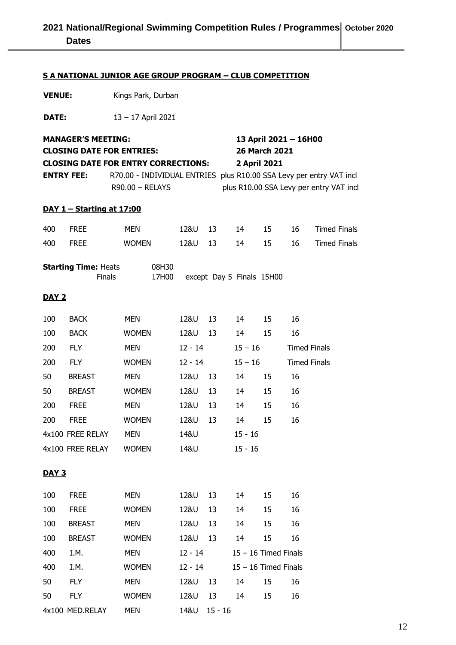# **2021 National/Regional Swimming Competition Rules / Programmes | October 2020 Dates**

#### **S A NATIONAL JUNIOR AGE GROUP PROGRAM – CLUB COMPETITION**

**VENUE:** Kings Park, Durban

**DATE:** 13 – 17 April 2021

|              | 13 April 2021 - 16H00<br><b>MANAGER'S MEETING:</b><br>26 March 2021<br><b>CLOSING DATE FOR ENTRIES:</b><br><b>CLOSING DATE FOR ENTRY CORRECTIONS:</b><br>2 April 2021<br><b>ENTRY FEE:</b><br>R70.00 - INDIVIDUAL ENTRIES plus R10.00 SSA Levy per entry VAT incl<br>R90.00 - RELAYS<br>plus R10.00 SSA Levy per entry VAT incl |                |           |    |                           |    |                     |                     |  |
|--------------|---------------------------------------------------------------------------------------------------------------------------------------------------------------------------------------------------------------------------------------------------------------------------------------------------------------------------------|----------------|-----------|----|---------------------------|----|---------------------|---------------------|--|
|              | DAY 1 - Starting at 17:00                                                                                                                                                                                                                                                                                                       |                |           |    |                           |    |                     |                     |  |
| 400          | <b>FREE</b>                                                                                                                                                                                                                                                                                                                     | <b>MEN</b>     | 12&U      | 13 | 14                        | 15 | 16                  | <b>Timed Finals</b> |  |
| 400          | <b>FREE</b>                                                                                                                                                                                                                                                                                                                     | <b>WOMEN</b>   | 12&U      | 13 | 14                        | 15 | 16                  | <b>Timed Finals</b> |  |
|              | <b>Starting Time: Heats</b><br><b>Finals</b>                                                                                                                                                                                                                                                                                    | 08H30<br>17H00 |           |    | except Day 5 Finals 15H00 |    |                     |                     |  |
| <b>DAY 2</b> |                                                                                                                                                                                                                                                                                                                                 |                |           |    |                           |    |                     |                     |  |
| 100          | <b>BACK</b>                                                                                                                                                                                                                                                                                                                     | <b>MEN</b>     | 12&U      | 13 | 14                        | 15 | 16                  |                     |  |
| 100          | <b>BACK</b>                                                                                                                                                                                                                                                                                                                     | <b>WOMEN</b>   | 12&U      | 13 | 14                        | 15 | 16                  |                     |  |
| 200          | <b>FLY</b>                                                                                                                                                                                                                                                                                                                      | <b>MEN</b>     | $12 - 14$ |    | $15 - 16$                 |    | <b>Timed Finals</b> |                     |  |
| 200          | <b>FLY</b>                                                                                                                                                                                                                                                                                                                      | <b>WOMEN</b>   | $12 - 14$ |    | $15 - 16$                 |    | <b>Timed Finals</b> |                     |  |
| 50           | <b>BREAST</b>                                                                                                                                                                                                                                                                                                                   | <b>MEN</b>     | 12&U      | 13 | 14                        | 15 | 16                  |                     |  |
| 50           | <b>BREAST</b>                                                                                                                                                                                                                                                                                                                   | <b>WOMEN</b>   | 12&U      | 13 | 14                        | 15 | 16                  |                     |  |
| 200          | <b>FREE</b>                                                                                                                                                                                                                                                                                                                     | <b>MEN</b>     | 12&U      | 13 | 14                        | 15 | 16                  |                     |  |
| 200          | <b>FREE</b>                                                                                                                                                                                                                                                                                                                     | <b>WOMEN</b>   | 12&U      | 13 | 14                        | 15 | 16                  |                     |  |
|              | 4x100 FREE RELAY                                                                                                                                                                                                                                                                                                                | <b>MEN</b>     | 14&U      |    | $15 - 16$                 |    |                     |                     |  |
|              | 4x100 FREE RELAY                                                                                                                                                                                                                                                                                                                | <b>WOMEN</b>   | 14&U      |    | $15 - 16$                 |    |                     |                     |  |
| <b>DAY 3</b> |                                                                                                                                                                                                                                                                                                                                 |                |           |    |                           |    |                     |                     |  |
| 100          | <b>FREE</b>                                                                                                                                                                                                                                                                                                                     | <b>MEN</b>     | 12&U      | 13 | 14                        | 15 | 16                  |                     |  |
| 100          | <b>FREE</b>                                                                                                                                                                                                                                                                                                                     | <b>WOMEN</b>   | 12&U      | 13 | 14                        | 15 | 16                  |                     |  |
| 100          | <b>BREAST</b>                                                                                                                                                                                                                                                                                                                   | <b>MEN</b>     | 12&U      | 13 | 14                        | 15 | 16                  |                     |  |
| 100          | <b>BREAST</b>                                                                                                                                                                                                                                                                                                                   | <b>WOMEN</b>   | 12&U      | 13 | 14                        | 15 | 16                  |                     |  |
| 400          | I.M.                                                                                                                                                                                                                                                                                                                            | <b>MEN</b>     | $12 - 14$ |    | $15 - 16$ Timed Finals    |    |                     |                     |  |
| 400          | I.M.                                                                                                                                                                                                                                                                                                                            | <b>WOMEN</b>   | $12 - 14$ |    | $15 - 16$ Timed Finals    |    |                     |                     |  |
| 50           | <b>FLY</b>                                                                                                                                                                                                                                                                                                                      | MEN            | 12&U      | 13 | 14                        | 15 | 16                  |                     |  |
| 50           | <b>FLY</b>                                                                                                                                                                                                                                                                                                                      | <b>WOMEN</b>   | 12&U      | 13 | 14                        | 15 | 16                  |                     |  |

4x100 MED.RELAY MEN 14&U 15 - 16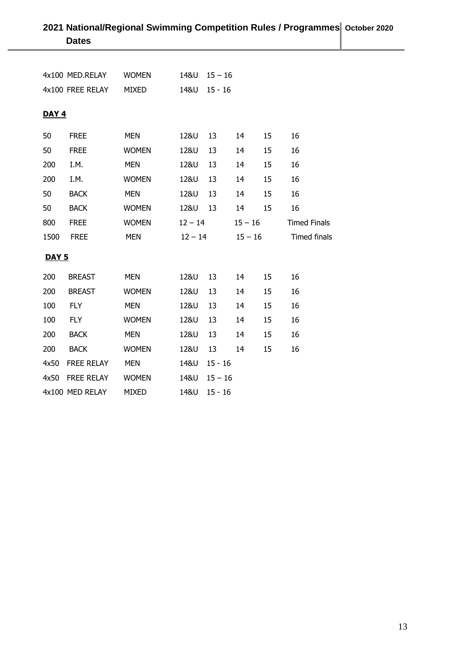|              | <b>Dates</b>      |              |                  |           |           |           |                     |
|--------------|-------------------|--------------|------------------|-----------|-----------|-----------|---------------------|
|              |                   |              |                  |           |           |           |                     |
|              | 4x100 MED.RELAY   | <b>WOMEN</b> | $148U$ $15 - 16$ |           |           |           |                     |
|              | 4x100 FREE RELAY  | MIXED        | 14&U 15 - 16     |           |           |           |                     |
|              |                   |              |                  |           |           |           |                     |
| <b>DAY 4</b> |                   |              |                  |           |           |           |                     |
| 50           | <b>FREE</b>       | <b>MEN</b>   | 12&U             | 13        | 14        | 15        | 16                  |
| 50           | <b>FREE</b>       | <b>WOMEN</b> | 12&U             | 13        | 14        | 15        | 16                  |
| 200          | I.M.              | <b>MEN</b>   | 12&U             | 13        | 14        | 15        | 16                  |
| 200          | I.M.              | <b>WOMEN</b> | 12&U             | 13        | 14        | 15        | 16                  |
| 50           | <b>BACK</b>       | <b>MEN</b>   | 12&U             | 13        | 14        | 15        | 16                  |
| 50           | <b>BACK</b>       | <b>WOMEN</b> | 12&U             | 13        | 14        | 15        | 16                  |
| 800          | <b>FREE</b>       | <b>WOMEN</b> | $12 - 14$        |           | $15 - 16$ |           | <b>Timed Finals</b> |
| 1500         | <b>FREE</b>       | <b>MEN</b>   | $12 - 14$        |           |           | $15 - 16$ | Timed finals        |
| <b>DAY 5</b> |                   |              |                  |           |           |           |                     |
| 200          | <b>BREAST</b>     | <b>MEN</b>   | 12&U             | 13        | 14        | 15        | 16                  |
| 200          | <b>BREAST</b>     | <b>WOMEN</b> | 12&U             | 13        | 14        | 15        | 16                  |
| 100          | <b>FLY</b>        | <b>MEN</b>   | 12&U             | 13        | 14        | 15        | 16                  |
| 100          | <b>FLY</b>        | <b>WOMEN</b> | 12&U             | 13        | 14        | 15        | 16                  |
| 200          | <b>BACK</b>       | <b>MEN</b>   | 12&U             | 13        | 14        | 15        | 16                  |
| 200          | <b>BACK</b>       | <b>WOMEN</b> | 12&U             | 13        | 14        | 15        | 16                  |
| 4x50         | <b>FREE RELAY</b> | <b>MEN</b>   | 14&U             | $15 - 16$ |           |           |                     |
| 4x50         | <b>FREE RELAY</b> | <b>WOMEN</b> | 14&U             | $15 - 16$ |           |           |                     |
|              | 4x100 MED RELAY   | <b>MIXED</b> | 14&U             | $15 - 16$ |           |           |                     |

# **2021 National/Regional Swimming Competition Rules / Programmes October 2020**